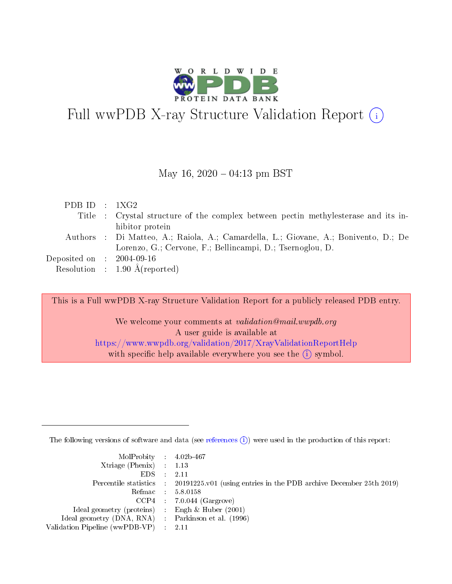

# Full wwPDB X-ray Structure Validation Report  $(i)$

#### May 16,  $2020 - 04:13$  pm BST

| PDBID : 1XG2                        |                                                                                     |
|-------------------------------------|-------------------------------------------------------------------------------------|
|                                     | Title : Crystal structure of the complex between pectin methylesterase and its in-  |
|                                     | hibitor protein                                                                     |
|                                     | Authors : Di Matteo, A.; Raiola, A.; Camardella, L.; Giovane, A.; Bonivento, D.; De |
|                                     | Lorenzo, G.; Cervone, F.; Bellincampi, D.; Tsernoglou, D.                           |
| Deposited on $\,$ : 2004-09-16 $\,$ |                                                                                     |
|                                     | Resolution : $1.90 \text{ Å}$ (reported)                                            |

This is a Full wwPDB X-ray Structure Validation Report for a publicly released PDB entry.

We welcome your comments at *validation@mail.wwpdb.org* A user guide is available at <https://www.wwpdb.org/validation/2017/XrayValidationReportHelp> with specific help available everywhere you see the  $(i)$  symbol.

The following versions of software and data (see [references](https://www.wwpdb.org/validation/2017/XrayValidationReportHelp#references)  $(i)$ ) were used in the production of this report:

| $MolProbability$ 4.02b-467                          |                                                                                            |
|-----------------------------------------------------|--------------------------------------------------------------------------------------------|
| Xtriage (Phenix) $: 1.13$                           |                                                                                            |
| EDS -                                               | -2.11                                                                                      |
|                                                     | Percentile statistics : 20191225.v01 (using entries in the PDB archive December 25th 2019) |
|                                                     | Refmac 58.0158                                                                             |
|                                                     | $CCP4$ : 7.0.044 (Gargrove)                                                                |
| Ideal geometry (proteins) : Engh $\&$ Huber (2001)  |                                                                                            |
| Ideal geometry (DNA, RNA) : Parkinson et al. (1996) |                                                                                            |
| Validation Pipeline (wwPDB-VP) :                    | -2.11                                                                                      |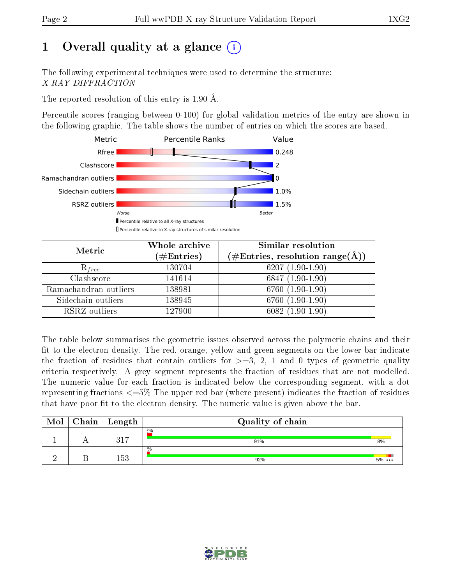# 1 [O](https://www.wwpdb.org/validation/2017/XrayValidationReportHelp#overall_quality)verall quality at a glance  $(i)$

The following experimental techniques were used to determine the structure: X-RAY DIFFRACTION

The reported resolution of this entry is 1.90 Å.

Percentile scores (ranging between 0-100) for global validation metrics of the entry are shown in the following graphic. The table shows the number of entries on which the scores are based.



| Metric                | Whole archive<br>$(\#\mathrm{Entries})$ | Similar resolution<br>$(\#\text{Entries}, \text{resolution range}(\text{\AA}))$ |
|-----------------------|-----------------------------------------|---------------------------------------------------------------------------------|
| $R_{free}$            | 130704                                  | $6207(1.90-1.90)$                                                               |
| Clashscore            | 141614                                  | $6847(1.90-1.90)$                                                               |
| Ramachandran outliers | 138981                                  | $6760(1.90-1.90)$                                                               |
| Sidechain outliers    | 138945                                  | 6760 (1.90-1.90)                                                                |
| RSRZ outliers         | 127900                                  | $6082(1.90-1.90)$                                                               |

The table below summarises the geometric issues observed across the polymeric chains and their fit to the electron density. The red, orange, yellow and green segments on the lower bar indicate the fraction of residues that contain outliers for  $>=3, 2, 1$  and 0 types of geometric quality criteria respectively. A grey segment represents the fraction of residues that are not modelled. The numeric value for each fraction is indicated below the corresponding segment, with a dot representing fractions  $\epsilon=5\%$  The upper red bar (where present) indicates the fraction of residues that have poor fit to the electron density. The numeric value is given above the bar.

| Mol | $Chain \  Length$ | Quality of chain |              |
|-----|-------------------|------------------|--------------|
|     | 317               | 2%<br>91%        | 8%           |
|     | 153               | $\%$<br>92%      | $5\% \cdots$ |

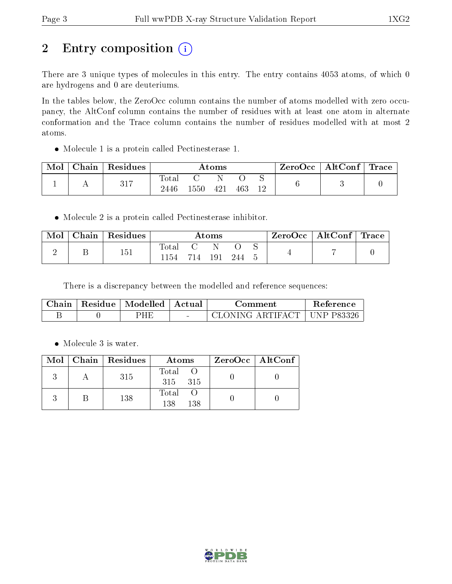# 2 Entry composition (i)

There are 3 unique types of molecules in this entry. The entry contains 4053 atoms, of which 0 are hydrogens and 0 are deuteriums.

In the tables below, the ZeroOcc column contains the number of atoms modelled with zero occupancy, the AltConf column contains the number of residues with at least one atom in alternate conformation and the Trace column contains the number of residues modelled with at most 2 atoms.

Molecule 1 is a protein called Pectinesterase 1.

| Mol | Chain | Residues | Atoms               |      |     |     | ZeroOcc | $\mid$ AltConf $\mid$ Trace |  |  |
|-----|-------|----------|---------------------|------|-----|-----|---------|-----------------------------|--|--|
|     |       | 317      | $\rm Total$<br>2446 | 1550 | 421 | 463 | 12      |                             |  |  |

Molecule 2 is a protein called Pectinesterase inhibitor.

| Mol | Chain | Residues | Atoms         |         |  |      |  | $ZeroOcc \mid AltConf \mid Trace \mid$ |  |
|-----|-------|----------|---------------|---------|--|------|--|----------------------------------------|--|
|     |       | 151      | Total<br>1154 | 714 191 |  | -244 |  |                                        |  |

There is a discrepancy between the modelled and reference sequences:

| Chain | Residue   Modelled   Actual |        | ∴omment                       | <b>Reference</b> |
|-------|-----------------------------|--------|-------------------------------|------------------|
|       | PHF                         | $\sim$ | CLONING ARTIFACT   UNP P83326 |                  |

• Molecule 3 is water.

|  | Mol   Chain   Residues | Atoms                 | $ZeroOcc \   \ AltConf \  $ |
|--|------------------------|-----------------------|-----------------------------|
|  | 315                    | Total O<br>315 315    |                             |
|  | 138                    | Total O<br>138<br>138 |                             |

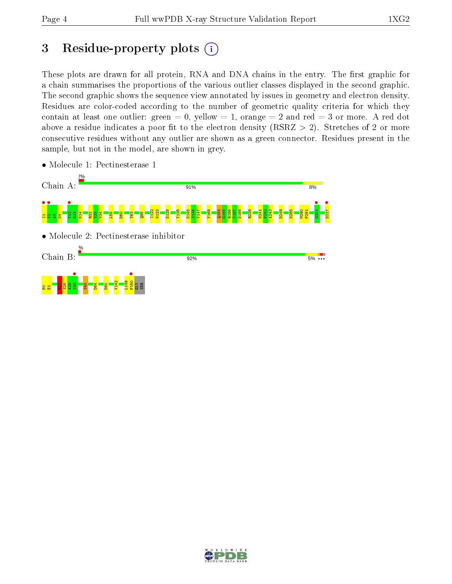## 3 Residue-property plots  $(i)$

These plots are drawn for all protein, RNA and DNA chains in the entry. The first graphic for a chain summarises the proportions of the various outlier classes displayed in the second graphic. The second graphic shows the sequence view annotated by issues in geometry and electron density. Residues are color-coded according to the number of geometric quality criteria for which they contain at least one outlier: green  $= 0$ , yellow  $= 1$ , orange  $= 2$  and red  $= 3$  or more. A red dot above a residue indicates a poor fit to the electron density (RSRZ  $> 2$ ). Stretches of 2 or more consecutive residues without any outlier are shown as a green connector. Residues present in the sample, but not in the model, are shown in grey.



• Molecule 1: Pectinesterase 1

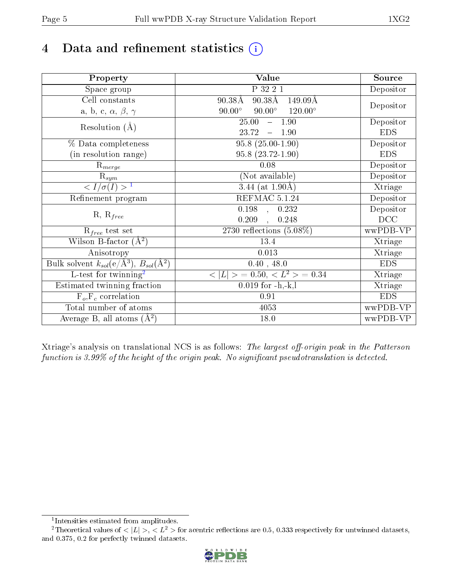# 4 Data and refinement statistics  $(i)$

| Property                                                             | Value                                                        | Source     |
|----------------------------------------------------------------------|--------------------------------------------------------------|------------|
| Space group                                                          | P 32 2 1                                                     | Depositor  |
| Cell constants                                                       | $90.38\text{\AA}$<br>$90.38\text{\AA}$<br>$149.09\text{\AA}$ |            |
| a, b, c, $\alpha$ , $\beta$ , $\gamma$                               | $90.00^\circ$<br>$120.00^\circ$<br>$90.00^\circ$             | Depositor  |
| Resolution $(A)$                                                     | 25.00<br>$-1.90$                                             | Depositor  |
|                                                                      | 23.72<br>$-1.90$                                             | <b>EDS</b> |
| % Data completeness                                                  | $95.8(25.00-1.90)$                                           | Depositor  |
| (in resolution range)                                                | $95.8(23.72-1.90)$                                           | <b>EDS</b> |
| $\mathrm{R}_{merge}$                                                 | 0.08                                                         | Depositor  |
| $\mathrm{R}_{sym}$                                                   | (Not available)                                              | Depositor  |
| $\sqrt{I/\sigma(I)} > 1$                                             | $\overline{3.44}$ (at 1.90Å)                                 | Xtriage    |
| Refinement program                                                   | REFMAC 5.1.24                                                | Depositor  |
|                                                                      | $\overline{0.198}$ ,<br>0.232                                | Depositor  |
| $R, R_{free}$                                                        | 0.209<br>0.248<br>$\overline{a}$                             | DCC        |
| $R_{free}$ test set                                                  | 2730 reflections $(5.08\%)$                                  | wwPDB-VP   |
| Wilson B-factor $(A^2)$                                              | 13.4                                                         | Xtriage    |
| Anisotropy                                                           | 0.013                                                        | Xtriage    |
| Bulk solvent $k_{sol}(e/\mathring{A}^3)$ , $B_{sol}(\mathring{A}^2)$ | 0.40, 48.0                                                   | <b>EDS</b> |
| $\overline{L-test for}$ twinning <sup>2</sup>                        | $< L >$ = 0.50, $< L2 >$ = 0.34                              | Xtriage    |
| Estimated twinning fraction                                          | $0.019$ for $-h,-k,l$                                        | Xtriage    |
| $F_o, F_c$ correlation                                               | 0.91                                                         | <b>EDS</b> |
| Total number of atoms                                                | 4053                                                         | wwPDB-VP   |
| Average B, all atoms $(A^2)$                                         | 18.0                                                         | wwPDB-VP   |

Xtriage's analysis on translational NCS is as follows: The largest off-origin peak in the Patterson function is  $3.99\%$  of the height of the origin peak. No significant pseudotranslation is detected.

<sup>&</sup>lt;sup>2</sup>Theoretical values of  $\langle |L| \rangle$ ,  $\langle L^2 \rangle$  for acentric reflections are 0.5, 0.333 respectively for untwinned datasets, and 0.375, 0.2 for perfectly twinned datasets.



<span id="page-4-1"></span><span id="page-4-0"></span><sup>1</sup> Intensities estimated from amplitudes.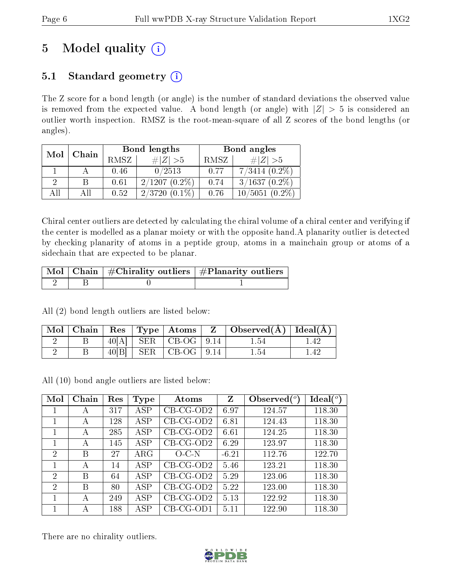# 5 Model quality  $(i)$

### 5.1 Standard geometry  $(i)$

The Z score for a bond length (or angle) is the number of standard deviations the observed value is removed from the expected value. A bond length (or angle) with  $|Z| > 5$  is considered an outlier worth inspection. RMSZ is the root-mean-square of all Z scores of the bond lengths (or angles).

| Mol | Chain |      | Bond lengths        | Bond angles |                      |  |
|-----|-------|------|---------------------|-------------|----------------------|--|
|     |       | RMSZ | $\# Z  > 5$         | RMSZ        | # $ Z  > 5$          |  |
|     |       | 0.46 | 0/2513              | 0.77        | $7/3414$ $(0.2\%)$   |  |
| 2   |       | 0.61 | $2/1207(0.2\%)$     | 0.74        | $3/1637(0.2\%)$      |  |
| AIL |       | 0.52 | 2/3720<br>$(0.1\%)$ | 0.76        | 10/5051<br>$(0.2\%)$ |  |

Chiral center outliers are detected by calculating the chiral volume of a chiral center and verifying if the center is modelled as a planar moiety or with the opposite hand.A planarity outlier is detected by checking planarity of atoms in a peptide group, atoms in a mainchain group or atoms of a sidechain that are expected to be planar.

|  | $\lceil \text{Mol} \rceil$ Chain $\mid \#\text{Chirality outliers} \mid \#\text{Planarity outliers} \mid$ |
|--|-----------------------------------------------------------------------------------------------------------|
|  |                                                                                                           |

All (2) bond length outliers are listed below:

|  |  |                        | $\mid$ Mol $\mid$ Chain $\mid$ Res $\mid$ Type $\mid$ Atoms $\mid$ Z $\mid$ Observed(Å) $\mid$ Ideal(Å) $\mid$ |      |
|--|--|------------------------|----------------------------------------------------------------------------------------------------------------|------|
|  |  | $40[A]$ SER CB-OG 9.14 | 1.54                                                                                                           | l 42 |
|  |  | $40[B]$ SER CB-OG 9.14 | $1.54\,$                                                                                                       | 1.42 |

All (10) bond angle outliers are listed below:

| Mol            | Chain | Res | <b>Type</b> | Atoms       | Z       | Observed $(°)$ | Ideal $(^\circ)$ |
|----------------|-------|-----|-------------|-------------|---------|----------------|------------------|
|                | А     | 317 | <b>ASP</b>  | $CB-CG-OD2$ | 6.97    | 124.57         | 118.30           |
| 1              | А     | 128 | ASP         | $CB-CG-OD2$ | 6.81    | 124.43         | 118.30           |
| 1              | А     | 285 | ASP         | $CB-CG-OD2$ | 6.61    | 124.25         | 118.30           |
| 1              | А     | 145 | <b>ASP</b>  | $CB-CG-OD2$ | 6.29    | 123.97         | 118.30           |
| $\overline{2}$ | B     | 27  | $\rm{ARG}$  | $O-C N$     | $-6.21$ | 112.76         | 122.70           |
| 1              | A     | 14  | ASP         | $CB-CG-OD2$ | 5.46    | 123.21         | 118.30           |
| $\overline{2}$ | В     | 64  | ASP         | $CB-CG-OD2$ | 5.29    | 123.06         | 118.30           |
| $\overline{2}$ | В     | 80  | <b>ASP</b>  | $CB-CG-OD2$ | 5.22    | 123.00         | 118.30           |
| 1              | А     | 249 | ASP         | $CB-CG-OD2$ | 5.13    | 122.92         | 118.30           |
|                | А     | 188 | $\rm{ASP}$  | $CB-CG-OD1$ | 5.11    | 122.90         | 118.30           |

There are no chirality outliers.

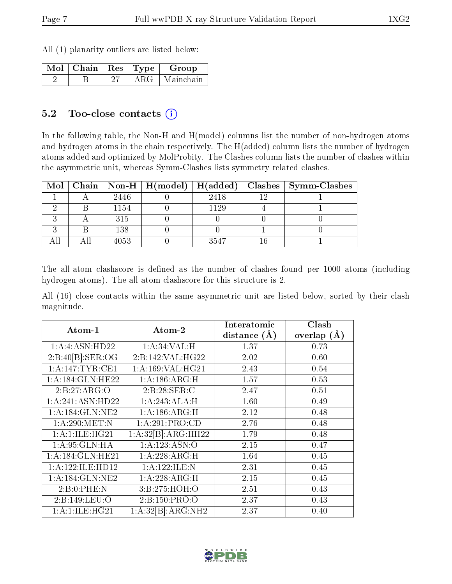All (1) planarity outliers are listed below:

| Mol   Chain   Res   Type |         | Group     |
|--------------------------|---------|-----------|
|                          | A R $G$ | Mainchain |

#### 5.2 Too-close contacts  $(i)$

In the following table, the Non-H and H(model) columns list the number of non-hydrogen atoms and hydrogen atoms in the chain respectively. The H(added) column lists the number of hydrogen atoms added and optimized by MolProbity. The Clashes column lists the number of clashes within the asymmetric unit, whereas Symm-Clashes lists symmetry related clashes.

|  |      |      | Mol   Chain   Non-H   H(model)   H(added)   Clashes   Symm-Clashes |
|--|------|------|--------------------------------------------------------------------|
|  | 2446 | 2418 |                                                                    |
|  | 1154 | 1129 |                                                                    |
|  | 315  |      |                                                                    |
|  | 138  |      |                                                                    |
|  | 4053 | 3547 |                                                                    |

The all-atom clashscore is defined as the number of clashes found per 1000 atoms (including hydrogen atoms). The all-atom clashscore for this structure is 2.

All (16) close contacts within the same asymmetric unit are listed below, sorted by their clash magnitude.

| Atom-1               | Atom-2             | Interatomic      | Clash           |
|----------------------|--------------------|------------------|-----------------|
|                      |                    | distance $(\AA)$ | overlap $(\AA)$ |
| 1:A:4:ASN:HD22       | 1: A:34:VAL:H      | 1.37             | 0.73            |
| 2:B:40[B]:SER:OG     | 2:B:142:VAL:HG22   | 2.02             | 0.60            |
| 1: A:147:TYR:CE1     | 1: A:169: VAL:HG21 | 2.43             | 0.54            |
| 1:A:184:GLN:HE22     | 1:A:186:ARG:H      | 1.57             | 0.53            |
| 2:B:27:ARG:O         | 2:B:28:SER:C       | 2.47             | 0.51            |
| 1:A:241:ASN:HD22     | 1:A:243:ALA:H      | 1.60             | 0.49            |
| 1:A:184:GLN:NE2      | 1:A:186:ARG:H      | 2.12             | 0.48            |
| 1: A:290:MET:N       | 1:A:291:PRO:CD     | 2.76             | 0.48            |
| 1: A:1: ILE: HG21    | 1:A:32[B]:ARG:HH22 | 1.79             | 0.48            |
| 1: A:95: GLN: HA     | 1:A:123:ASN:O      | 2.15             | 0.47            |
| 1:A:184:GLN:HE21     | 1:A:228:ARG:H      | 1.64             | 0.45            |
| 1: A: 122: ILE: HD12 | 1:A:122:ILE:N      | 2.31             | 0.45            |
| 1: A:184: GLN: NE2   | 1:A:228:ARG:H      | 2.15             | 0.45            |
| 2:B:0:PHE:N          | 3:B:275:HOH:O      | 2.51             | 0.43            |
| 2:B:149:LEU:O        | 2:B:150:PRO:O      | 2.37             | 0.43            |
| 1: A:1: ILE: HG21    | 1:A:32[B]:ARG:NH2  | 2.37             | 0.40            |

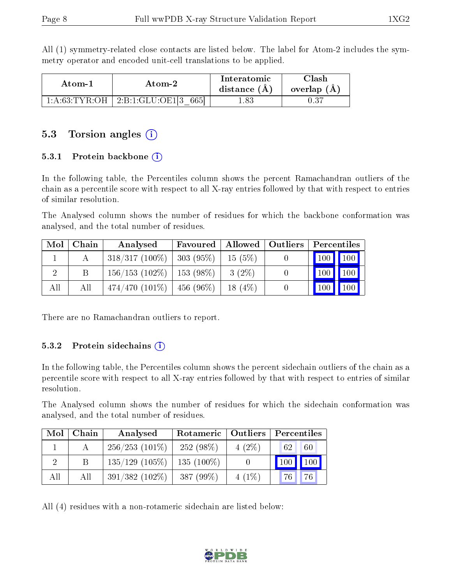All (1) symmetry-related close contacts are listed below. The label for Atom-2 includes the symmetry operator and encoded unit-cell translations to be applied.

| Atom-1 | Atom-2                                   | Interatomic<br>distance $(A)$ | 7lash<br>overlap $(A)$ |
|--------|------------------------------------------|-------------------------------|------------------------|
|        | $1:A:63:TYR:OH$   $2:B:1:GLU:OE1[3 665]$ | 1.83                          | 0.37                   |

### 5.3 Torsion angles  $(i)$

#### 5.3.1 Protein backbone  $(i)$

In the following table, the Percentiles column shows the percent Ramachandran outliers of the chain as a percentile score with respect to all X-ray entries followed by that with respect to entries of similar resolution.

The Analysed column shows the number of residues for which the backbone conformation was analysed, and the total number of residues.

| Mol | Chain | Analysed                       | Favoured             |           | Allowed   Outliers | Percentiles       |
|-----|-------|--------------------------------|----------------------|-----------|--------------------|-------------------|
|     |       | $318/317(100\%)$               | 303(95%)             | 15(5%)    |                    | 100 100           |
|     |       | $156/153$ (102\%)   153 (98\%) |                      | $3(2\%)$  |                    | 100<br>100        |
| All | All   | $474/470(101\%)$               | $^{\circ}$ 456 (96%) | $18(4\%)$ |                    | $100 \mid$<br>100 |

There are no Ramachandran outliers to report.

#### 5.3.2 Protein sidechains  $(i)$

In the following table, the Percentiles column shows the percent sidechain outliers of the chain as a percentile score with respect to all X-ray entries followed by that with respect to entries of similar resolution.

The Analysed column shows the number of residues for which the sidechain conformation was analysed, and the total number of residues.

| Mol | Chain | Analysed                        | Rotameric   Outliers |          | Percentiles            |
|-----|-------|---------------------------------|----------------------|----------|------------------------|
|     |       | $256/253$ (101\%)               | $252(98\%)$          | $4(2\%)$ | 62<br>60               |
|     |       | $135/129$ (105\%)   135 (100\%) |                      |          | 100<br>$^{\prime}$ 100 |
| All | All   | $391/382(102\%)$                | $387(99\%)$          | $4(1\%)$ | 76<br>76 <sub>1</sub>  |

All (4) residues with a non-rotameric sidechain are listed below:

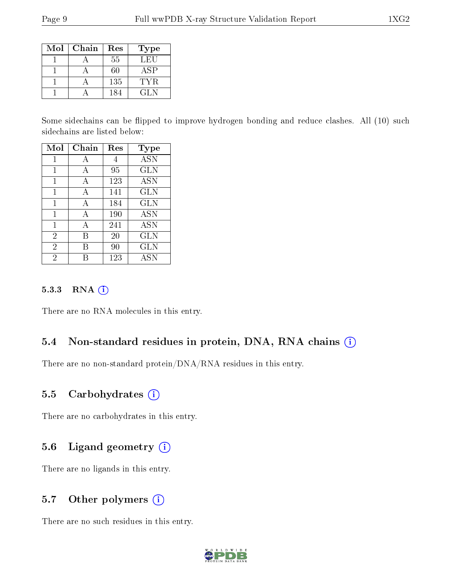| Mol | Chain | Res | Type       |
|-----|-------|-----|------------|
|     |       | 55  | LEU        |
|     |       | 60  | <b>ASP</b> |
|     |       | 135 | TYR.       |
|     |       | 184 | GL N       |

Some sidechains can be flipped to improve hydrogen bonding and reduce clashes. All (10) such sidechains are listed below:

| Mol            | Chain | Res | <b>Type</b>  |
|----------------|-------|-----|--------------|
| 1              | А     | 4   | <b>ASN</b>   |
| 1              | А     | 95  | <b>GLN</b>   |
| 1              | А     | 123 | <b>ASN</b>   |
| 1              | А     | 141 | <b>GLN</b>   |
| 1              | А     | 184 | $_{\rm GLN}$ |
| 1              | A     | 190 | <b>ASN</b>   |
| 1              | А     | 241 | ASN          |
| $\overline{2}$ | В     | 20  | <b>GLN</b>   |
| $\overline{2}$ | R     | 90  | <b>GLN</b>   |
| 2              |       | 123 | <b>ASN</b>   |

#### 5.3.3 RNA [O](https://www.wwpdb.org/validation/2017/XrayValidationReportHelp#rna)i

There are no RNA molecules in this entry.

#### 5.4 Non-standard residues in protein, DNA, RNA chains (i)

There are no non-standard protein/DNA/RNA residues in this entry.

#### 5.5 Carbohydrates  $(i)$

There are no carbohydrates in this entry.

#### 5.6 Ligand geometry (i)

There are no ligands in this entry.

#### 5.7 [O](https://www.wwpdb.org/validation/2017/XrayValidationReportHelp#nonstandard_residues_and_ligands)ther polymers (i)

There are no such residues in this entry.

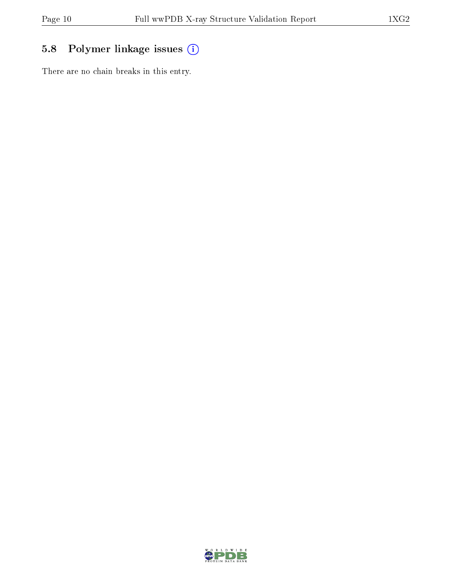## 5.8 Polymer linkage issues (i)

There are no chain breaks in this entry.

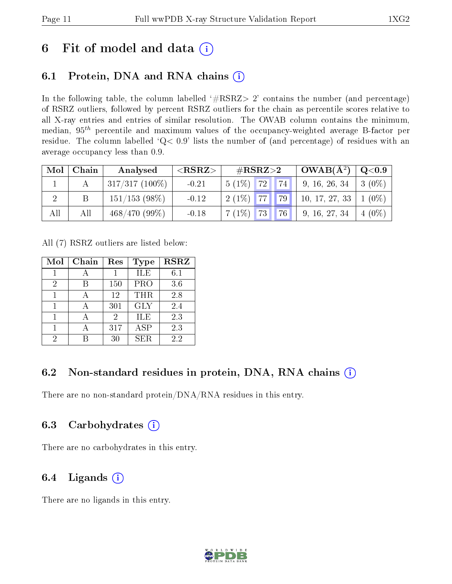## 6 Fit of model and data  $(i)$

## 6.1 Protein, DNA and RNA chains  $(i)$

In the following table, the column labelled  $#RSRZ> 2'$  contains the number (and percentage) of RSRZ outliers, followed by percent RSRZ outliers for the chain as percentile scores relative to all X-ray entries and entries of similar resolution. The OWAB column contains the minimum, median,  $95<sup>th</sup>$  percentile and maximum values of the occupancy-weighted average B-factor per residue. The column labelled ' $Q< 0.9$ ' lists the number of (and percentage) of residues with an average occupancy less than 0.9.

| Mol | Chain | Analysed         | ${ <\hspace{-1.5pt}{\mathrm{RSRZ}} \hspace{-1.5pt}>}$ | $\#\text{RSRZ}\text{>2}$ | $\vert$ OWAB( $\rm \AA^2) \vert \rm \AA$ | $\mid \text{Q}\text{<}0.9$ |
|-----|-------|------------------|-------------------------------------------------------|--------------------------|------------------------------------------|----------------------------|
|     |       | $317/317(100\%)$ | $-0.21$                                               | 74 <br>$5(1\%)$ 72       | 9, 16, 26, 34                            | $3(0\%)$                   |
|     |       | $151/153$ (98\%) | $-0.12$                                               | $2(1\%)$ 77<br>79        | 10, 17, 27, 33                           | $1(0\%)$                   |
| All | All   | $468/470(99\%)$  | $-0.18$                                               | 76<br>$7(1\%)$<br>73     | 9, 16, 27, 34                            | $+4(0\%)$                  |

All (7) RSRZ outliers are listed below:

| Mol | Chain | Res | <b>Type</b>  | <b>RSRZ</b> |
|-----|-------|-----|--------------|-------------|
|     |       |     | ILE          | 6.1         |
| 2   |       | 150 | PRO          | 3.6         |
|     |       | 12  | THR          | 2.8         |
| 1   |       | 301 | <b>GLY</b>   | 2.4         |
|     |       | 2   | ILE          | 2.3         |
|     |       | 317 | $_{\rm ASP}$ | 2.3         |
| 2   |       | 30  | SER          | 2.2         |

### 6.2 Non-standard residues in protein, DNA, RNA chains  $(i)$

There are no non-standard protein/DNA/RNA residues in this entry.

#### 6.3 Carbohydrates (i)

There are no carbohydrates in this entry.

### 6.4 Ligands  $(i)$

There are no ligands in this entry.